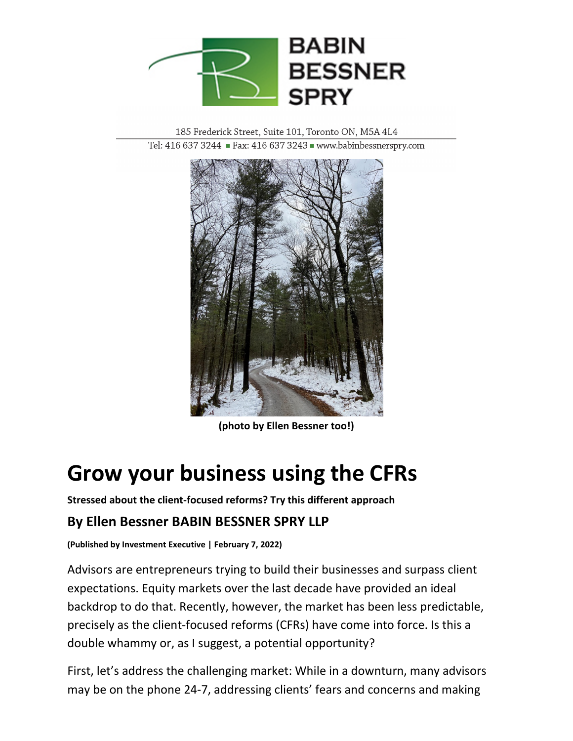

185 Frederick Street, Suite 101, Toronto ON, M5A 4L4 Tel: 416 637 3244 Fax: 416 637 3243 Www.babinbessnerspry.com



**(photo by Ellen Bessner too!)**

# **Grow your business using the CFRs**

**Stressed about the client-focused reforms? Try this different approach**

## **By Ellen Bessner BABIN BESSNER SPRY LLP**

**(Published by Investment Executive | February 7, 2022)**

Advisors are entrepreneurs trying to build their businesses and surpass client expectations. Equity markets over the last decade have provided an ideal backdrop to do that. Recently, however, the market has been less predictable, precisely as the client-focused reforms (CFRs) have come into force. Is this a double whammy or, as I suggest, a potential opportunity?

First, let's address the challenging market: While in a downturn, many advisors may be on the phone 24-7, addressing clients' fears and concerns and making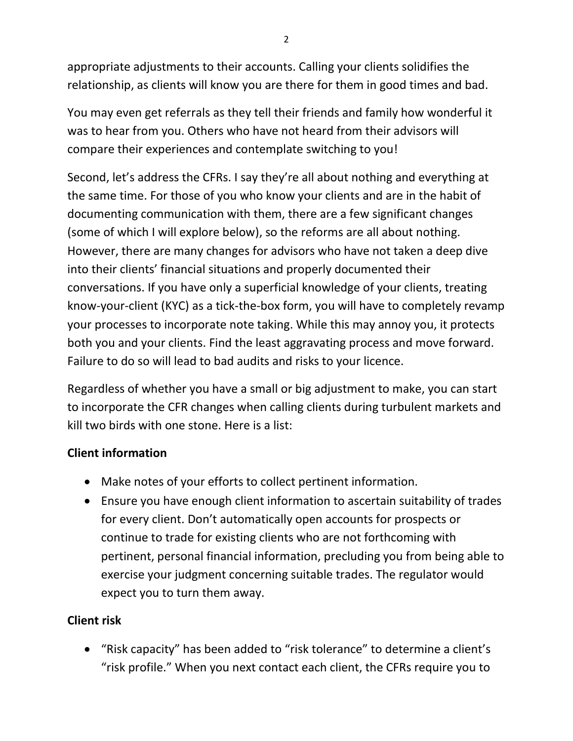appropriate adjustments to their accounts. Calling your clients solidifies the relationship, as clients will know you are there for them in good times and bad.

You may even get referrals as they tell their friends and family how wonderful it was to hear from you. Others who have not heard from their advisors will compare their experiences and contemplate switching to you!

Second, let's address the CFRs. I say they're all about nothing and everything at the same time. For those of you who know your clients and are in the habit of documenting communication with them, there are a few significant changes (some of which I will explore below), so the reforms are all about nothing. However, there are many changes for advisors who have not taken a deep dive into their clients' financial situations and properly documented their conversations. If you have only a superficial knowledge of your clients, treating know-your-client (KYC) as a tick-the-box form, you will have to completely revamp your processes to incorporate note taking. While this may annoy you, it protects both you and your clients. Find the least aggravating process and move forward. Failure to do so will lead to bad audits and risks to your licence.

Regardless of whether you have a small or big adjustment to make, you can start to incorporate the CFR changes when calling clients during turbulent markets and kill two birds with one stone. Here is a list:

### **Client information**

- Make notes of your efforts to collect pertinent information.
- Ensure you have enough client information to ascertain suitability of trades for every client. Don't automatically open accounts for prospects or continue to trade for existing clients who are not forthcoming with pertinent, personal financial information, precluding you from being able to exercise your judgment concerning suitable trades. The regulator would expect you to turn them away.

### **Client risk**

• "Risk capacity" has been added to "risk tolerance" to determine a client's "risk profile." When you next contact each client, the CFRs require you to

2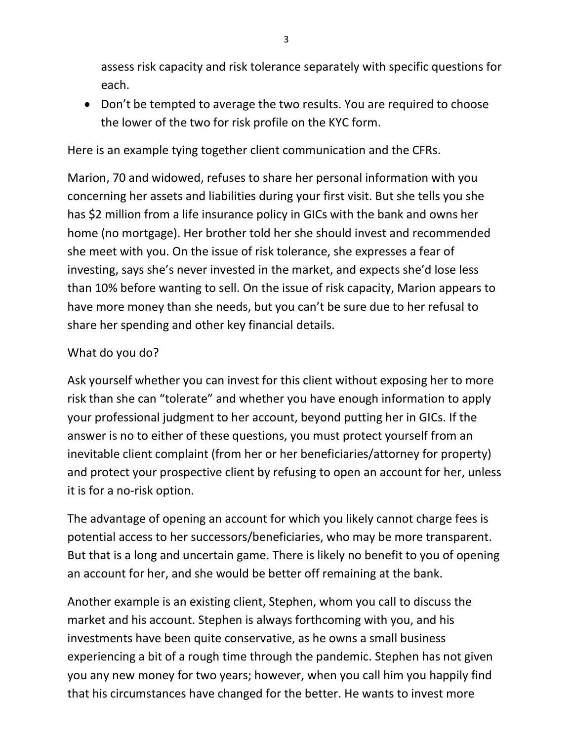assess risk capacity and risk tolerance separately with specific questions for each.

• Don't be tempted to average the two results. You are required to choose the lower of the two for risk profile on the KYC form.

Here is an example tying together client communication and the CFRs.

Marion, 70 and widowed, refuses to share her personal information with you concerning her assets and liabilities during your first visit. But she tells you she has \$2 million from a life insurance policy in GICs with the bank and owns her home (no mortgage). Her brother told her she should invest and recommended she meet with you. On the issue of risk tolerance, she expresses a fear of investing, says she's never invested in the market, and expects she'd lose less than 10% before wanting to sell. On the issue of risk capacity, Marion appears to have more money than she needs, but you can't be sure due to her refusal to share her spending and other key financial details.

#### What do you do?

Ask yourself whether you can invest for this client without exposing her to more risk than she can "tolerate" and whether you have enough information to apply your professional judgment to her account, beyond putting her in GICs. If the answer is no to either of these questions, you must protect yourself from an inevitable client complaint (from her or her beneficiaries/attorney for property) and protect your prospective client by refusing to open an account for her, unless it is for a no-risk option.

The advantage of opening an account for which you likely cannot charge fees is potential access to her successors/beneficiaries, who may be more transparent. But that is a long and uncertain game. There is likely no benefit to you of opening an account for her, and she would be better off remaining at the bank.

Another example is an existing client, Stephen, whom you call to discuss the market and his account. Stephen is always forthcoming with you, and his investments have been quite conservative, as he owns a small business experiencing a bit of a rough time through the pandemic. Stephen has not given you any new money for two years; however, when you call him you happily find that his circumstances have changed for the better. He wants to invest more